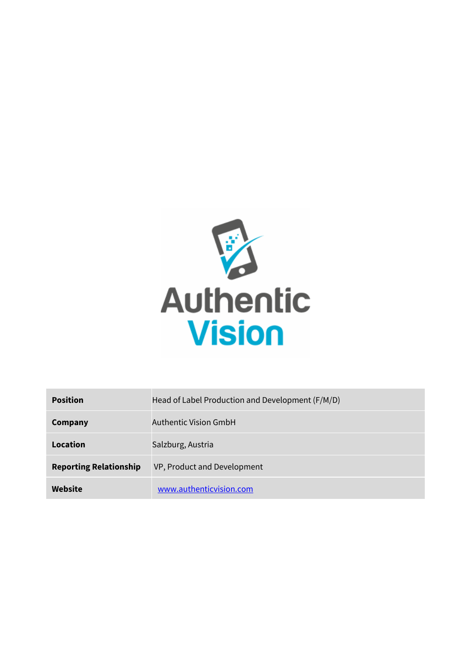

| <b>Position</b>               | Head of Label Production and Development (F/M/D) |
|-------------------------------|--------------------------------------------------|
| Company                       | Authentic Vision GmbH                            |
| Location                      | Salzburg, Austria                                |
| <b>Reporting Relationship</b> | VP, Product and Development                      |
| Website                       | www.authenticvision.com                          |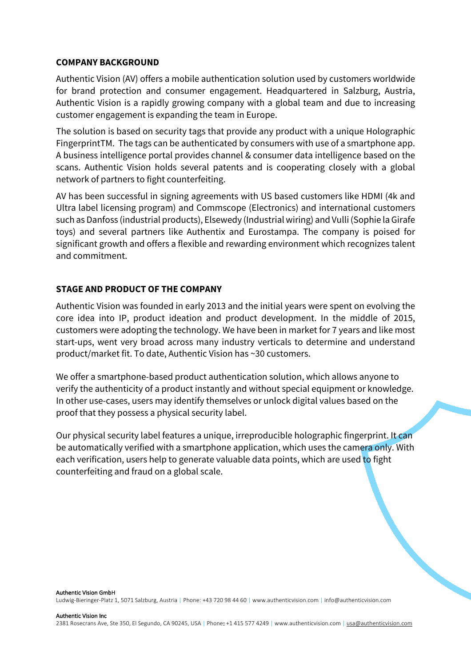#### **COMPANY BACKGROUND**

Authentic Vision (AV) offers a mobile authentication solution used by customers worldwide for brand protection and consumer engagement. Headquartered in Salzburg, Austria, Authentic Vision is a rapidly growing company with a global team and due to increasing customer engagement is expanding the team in Europe.

The solution is based on security tags that provide any product with a unique Holographic FingerprintTM. The tags can be authenticated by consumers with use of a smartphone app. A business intelligence portal provides channel & consumer data intelligence based on the scans. Authentic Vision holds several patents and is cooperating closely with a global network of partners to fight counterfeiting.

AV has been successful in signing agreements with US based customers like HDMI (4k and Ultra label licensing program) and Commscope (Electronics) and international customers such as Danfoss (industrial products), Elsewedy (Industrial wiring) and Vulli (Sophie la Girafe toys) and several partners like Authentix and Eurostampa. The company is poised for significant growth and offers a flexible and rewarding environment which recognizes talent and commitment.

### **STAGE AND PRODUCT OF THE COMPANY**

Authentic Vision was founded in early 2013 and the initial years were spent on evolving the core idea into IP, product ideation and product development. In the middle of 2015, customers were adopting the technology. We have been in market for 7 years and like most start-ups, went very broad across many industry verticals to determine and understand product/market fit. To date, Authentic Vision has ~30 customers.

We offer a smartphone-based product authentication solution, which allows anyone to verify the authenticity of a product instantly and without special equipment or knowledge. In other use-cases, users may identify themselves or unlock digital values based on the proof that they possess a physical security label.

Our physical security label features a unique, irreproducible holographic fingerprint. It can be automatically verified with a smartphone application, which uses the camera only. With each verification, users help to generate valuable data points, which are used to fight counterfeiting and fraud on a global scale.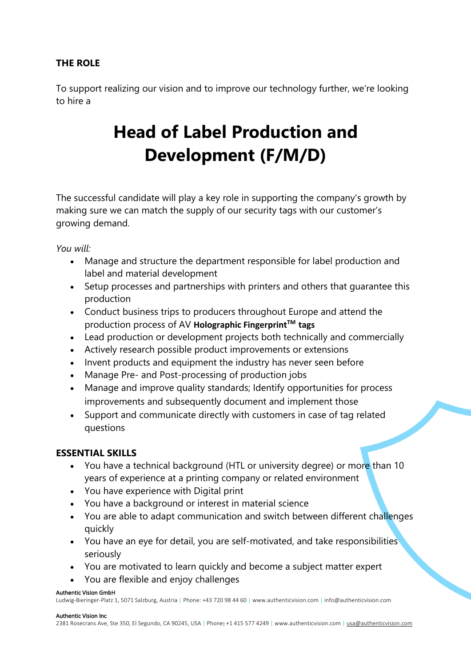# **THE ROLE**

To support realizing our vision and to improve our technology further, we're looking to hire a

# **Head of Label Production and Development (F/M/D)**

The successful candidate will play a key role in supporting the company's growth by making sure we can match the supply of our security tags with our customer's growing demand.

*You will:*

- Manage and structure the department responsible for label production and label and material development
- Setup processes and partnerships with printers and others that guarantee this production
- Conduct business trips to producers throughout Europe and attend the production process of AV **Holographic Fingerprint™ tags**
- Lead production or development projects both technically and commercially
- Actively research possible product improvements or extensions
- Invent products and equipment the industry has never seen before
- Manage Pre- and Post-processing of production jobs
- Manage and improve quality standards; Identify opportunities for process improvements and subsequently document and implement those
- Support and communicate directly with customers in case of tag related questions

## **ESSENTIAL SKILLS**

- You have a technical background (HTL or university degree) or more than 10 years of experience at a printing company or related environment
- You have experience with Digital print
- You have a background or interest in material science
- You are able to adapt communication and switch between different challenges quickly
- You have an eye for detail, you are self-motivated, and take responsibilities seriously
- You are motivated to learn quickly and become a subject matter expert
- You are flexible and enjoy challenges

#### Authentic Vision GmbH

Ludwig-Bieringer-Platz 1, 5071 Salzburg, Austria | Phone: +43 720 98 44 60 | www.authenticvision.com | info@authenticvision.com